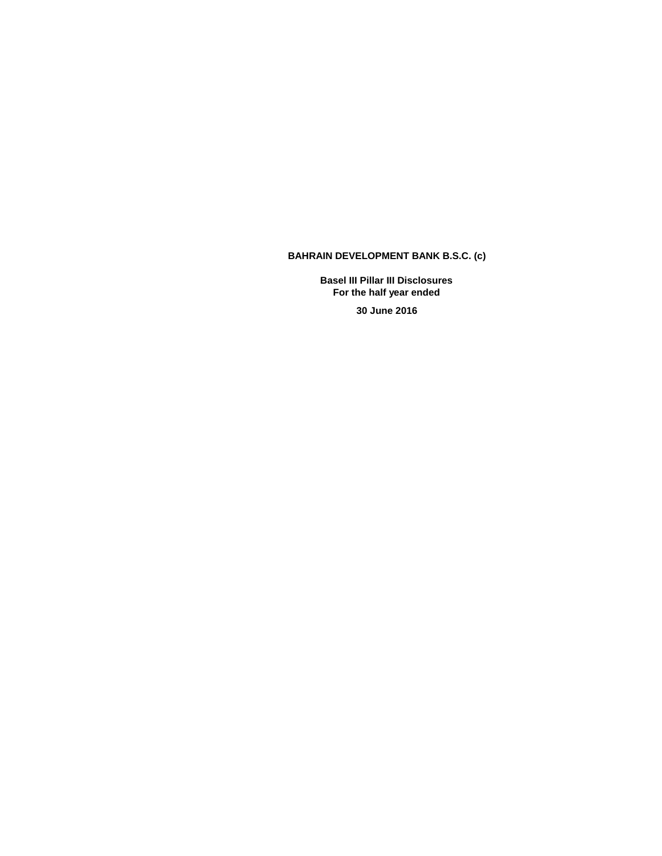# **BAHRAIN DEVELOPMENT BANK B.S.C. (c)**

**Basel III Pillar III Disclosures For the half year ended** 

**30 June 2016**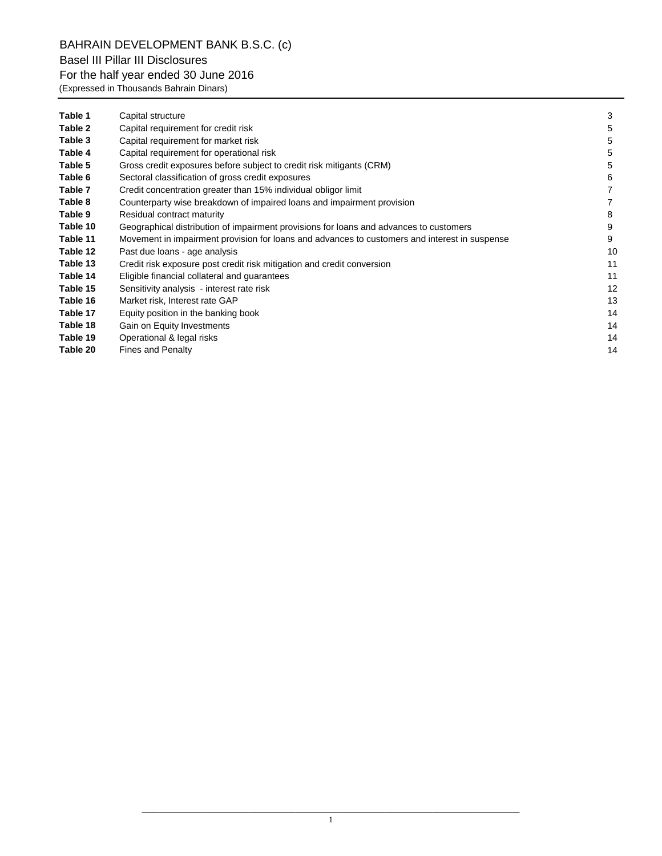BAHRAIN DEVELOPMENT BANK B.S.C. (c)

Basel III Pillar III Disclosures

For the half year ended 30 June 2016

(Expressed in Thousands Bahrain Dinars)

| Table 1  | Capital structure                                                                             | 3  |
|----------|-----------------------------------------------------------------------------------------------|----|
| Table 2  | Capital requirement for credit risk                                                           | 5  |
| Table 3  | Capital requirement for market risk                                                           | 5  |
| Table 4  | Capital requirement for operational risk                                                      | 5  |
| Table 5  | Gross credit exposures before subject to credit risk mitigants (CRM)                          | 5  |
| Table 6  | Sectoral classification of gross credit exposures                                             | 6  |
| Table 7  | Credit concentration greater than 15% individual obligor limit                                |    |
| Table 8  | Counterparty wise breakdown of impaired loans and impairment provision                        |    |
| Table 9  | Residual contract maturity                                                                    | 8  |
| Table 10 | Geographical distribution of impairment provisions for loans and advances to customers        | 9  |
| Table 11 | Movement in impairment provision for loans and advances to customers and interest in suspense | 9  |
| Table 12 | Past due loans - age analysis                                                                 | 10 |
| Table 13 | Credit risk exposure post credit risk mitigation and credit conversion                        | 11 |
| Table 14 | Eligible financial collateral and guarantees                                                  | 11 |
| Table 15 | Sensitivity analysis - interest rate risk                                                     | 12 |
| Table 16 | Market risk, Interest rate GAP                                                                | 13 |
| Table 17 | Equity position in the banking book                                                           | 14 |
| Table 18 | Gain on Equity Investments                                                                    | 14 |
| Table 19 | Operational & legal risks                                                                     | 14 |
| Table 20 | <b>Fines and Penalty</b>                                                                      | 14 |
|          |                                                                                               |    |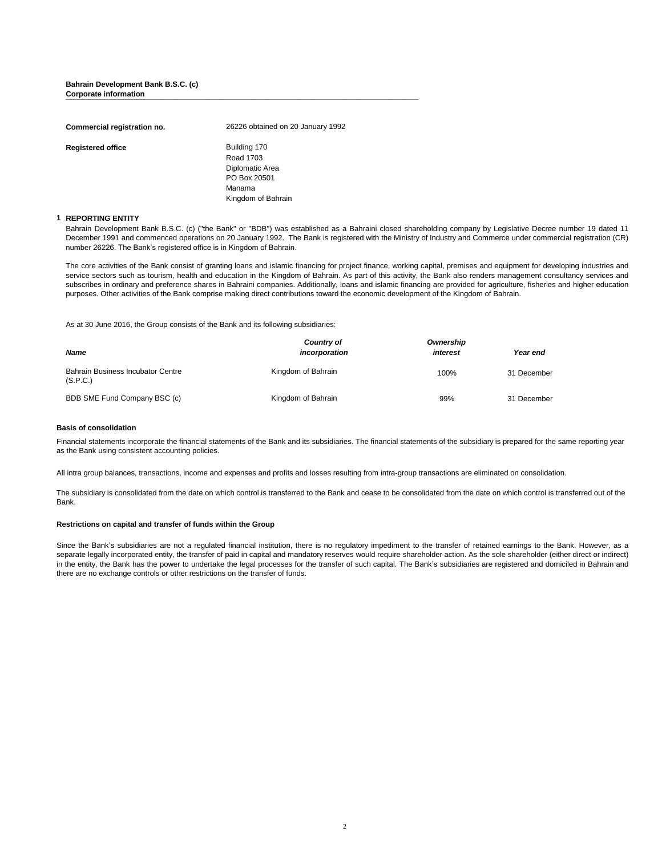## **Bahrain Development Bank B.S.C. (c) Corporate information \_\_\_\_\_\_\_\_\_\_\_\_\_\_\_\_\_\_\_\_\_\_\_\_\_\_\_\_\_\_\_\_\_\_\_\_\_\_\_\_\_\_\_\_\_\_\_\_\_\_\_\_\_\_\_\_\_\_\_\_\_\_\_\_\_\_\_\_\_\_\_\_\_\_\_\_\_\_\_\_\_\_\_\_\_**

| Commercial registration no. | 26226 obtained on 20 January 1992                                                            |
|-----------------------------|----------------------------------------------------------------------------------------------|
| <b>Registered office</b>    | Building 170<br>Road 1703<br>Diplomatic Area<br>PO Box 20501<br>Manama<br>Kingdom of Bahrain |

### **1 REPORTING ENTITY**

Bahrain Development Bank B.S.C. (c) ("the Bank" or "BDB") was established as a Bahraini closed shareholding company by Legislative Decree number 19 dated 11 December 1991 and commenced operations on 20 January 1992. The Bank is registered with the Ministry of Industry and Commerce under commercial registration (CR) number 26226. The Bank's registered office is in Kingdom of Bahrain.

The core activities of the Bank consist of granting loans and islamic financing for project finance, working capital, premises and equipment for developing industries and service sectors such as tourism, health and education in the Kingdom of Bahrain. As part of this activity, the Bank also renders management consultancy services and subscribes in ordinary and preference shares in Bahraini companies. Additionally, loans and islamic financing are provided for agriculture, fisheries and higher education purposes. Other activities of the Bank comprise making direct contributions toward the economic development of the Kingdom of Bahrain.

As at 30 June 2016, the Group consists of the Bank and its following subsidiaries:

| <b>Name</b>                                          | Country of<br>incorporation | Ownership<br>interest | Year end    |
|------------------------------------------------------|-----------------------------|-----------------------|-------------|
| <b>Bahrain Business Incubator Centre</b><br>(S.P.C.) | Kingdom of Bahrain          | 100%                  | 31 December |
| BDB SME Fund Company BSC (c)                         | Kingdom of Bahrain          | 99%                   | 31 December |

### **Basis of consolidation**

Financial statements incorporate the financial statements of the Bank and its subsidiaries. The financial statements of the subsidiary is prepared for the same reporting year as the Bank using consistent accounting policies.

All intra group balances, transactions, income and expenses and profits and losses resulting from intra-group transactions are eliminated on consolidation.

The subsidiary is consolidated from the date on which control is transferred to the Bank and cease to be consolidated from the date on which control is transferred out of the Bank.

### **Restrictions on capital and transfer of funds within the Group**

Since the Bank's subsidiaries are not a regulated financial institution, there is no regulatory impediment to the transfer of retained earnings to the Bank. However, as a separate legally incorporated entity, the transfer of paid in capital and mandatory reserves would require shareholder action. As the sole shareholder (either direct or indirect) in the entity, the Bank has the power to undertake the legal processes for the transfer of such capital. The Bank's subsidiaries are registered and domiciled in Bahrain and there are no exchange controls or other restrictions on the transfer of funds.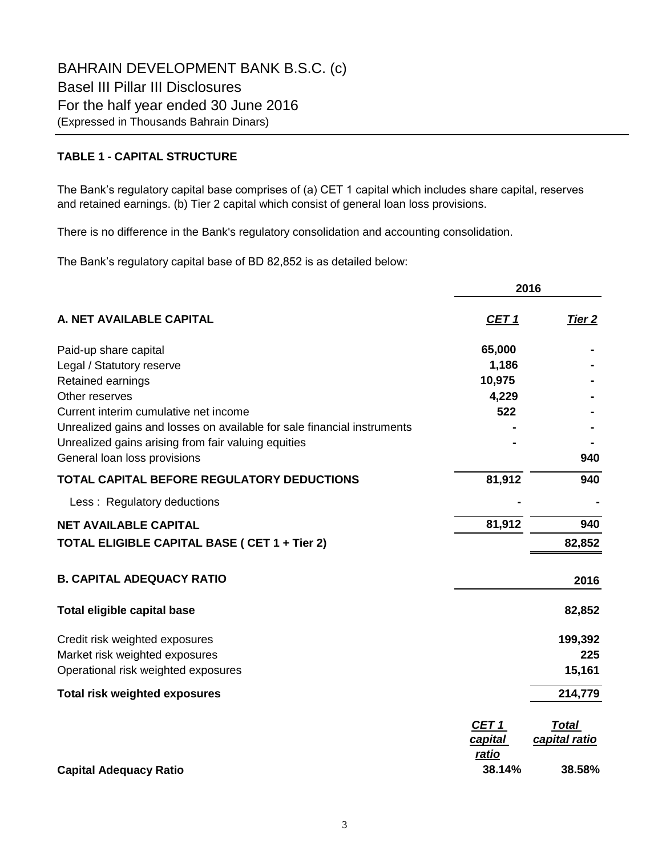# **TABLE 1 - CAPITAL STRUCTURE**

The Bank's regulatory capital base comprises of (a) CET 1 capital which includes share capital, reserves and retained earnings. (b) Tier 2 capital which consist of general loan loss provisions.

There is no difference in the Bank's regulatory consolidation and accounting consolidation.

The Bank's regulatory capital base of BD 82,852 is as detailed below:

|                                                                         | 2016                                 |                               |  |  |
|-------------------------------------------------------------------------|--------------------------------------|-------------------------------|--|--|
| A. NET AVAILABLE CAPITAL                                                | <u>CET 1</u>                         | Tier 2                        |  |  |
| Paid-up share capital                                                   | 65,000                               |                               |  |  |
| Legal / Statutory reserve                                               | 1,186                                |                               |  |  |
| Retained earnings                                                       | 10,975                               |                               |  |  |
| Other reserves                                                          | 4,229                                |                               |  |  |
| Current interim cumulative net income                                   | 522                                  |                               |  |  |
| Unrealized gains and losses on available for sale financial instruments |                                      |                               |  |  |
| Unrealized gains arising from fair valuing equities                     |                                      |                               |  |  |
| General loan loss provisions                                            |                                      | 940                           |  |  |
| TOTAL CAPITAL BEFORE REGULATORY DEDUCTIONS                              | 81,912                               | 940                           |  |  |
| Less: Regulatory deductions                                             |                                      |                               |  |  |
| <b>NET AVAILABLE CAPITAL</b>                                            | 81,912                               | 940                           |  |  |
| TOTAL ELIGIBLE CAPITAL BASE ( CET 1 + Tier 2)                           |                                      | 82,852                        |  |  |
| <b>B. CAPITAL ADEQUACY RATIO</b>                                        |                                      | 2016                          |  |  |
| <b>Total eligible capital base</b>                                      |                                      | 82,852                        |  |  |
| Credit risk weighted exposures                                          |                                      | 199,392                       |  |  |
| Market risk weighted exposures                                          |                                      | 225                           |  |  |
| Operational risk weighted exposures                                     |                                      | 15,161                        |  |  |
| <b>Total risk weighted exposures</b>                                    |                                      | 214,779                       |  |  |
|                                                                         | CET <sub>1</sub><br>capital<br>ratio | <b>Total</b><br>capital ratio |  |  |
| <b>Capital Adequacy Ratio</b>                                           | 38.14%                               | 38.58%                        |  |  |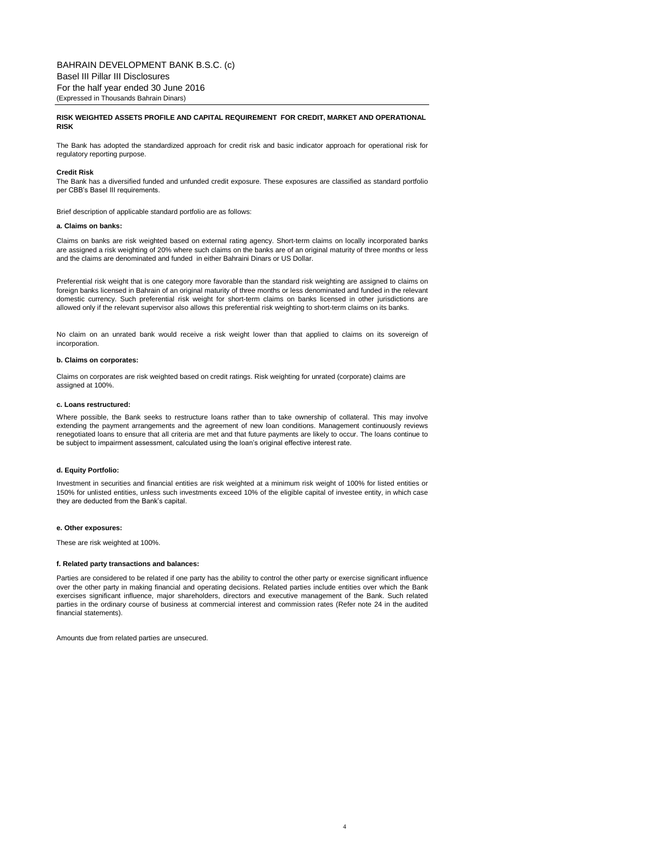#### **RISK WEIGHTED ASSETS PROFILE AND CAPITAL REQUIREMENT FOR CREDIT, MARKET AND OPERATIONAL RISK**

The Bank has adopted the standardized approach for credit risk and basic indicator approach for operational risk for regulatory reporting purpose.

#### **Credit Risk**

The Bank has a diversified funded and unfunded credit exposure. These exposures are classified as standard portfolio per CBB's Basel III requirements.

Brief description of applicable standard portfolio are as follows:

### **a. Claims on banks:**

Claims on banks are risk weighted based on external rating agency. Short-term claims on locally incorporated banks are assigned a risk weighting of 20% where such claims on the banks are of an original maturity of three months or less and the claims are denominated and funded in either Bahraini Dinars or US Dollar.

Preferential risk weight that is one category more favorable than the standard risk weighting are assigned to claims on foreign banks licensed in Bahrain of an original maturity of three months or less denominated and funded in the relevant domestic currency. Such preferential risk weight for short-term claims on banks licensed in other jurisdictions are allowed only if the relevant supervisor also allows this preferential risk weighting to short-term claims on its banks.

No claim on an unrated bank would receive a risk weight lower than that applied to claims on its sovereign of incorporation.

#### **b. Claims on corporates:**

Claims on corporates are risk weighted based on credit ratings. Risk weighting for unrated (corporate) claims are assigned at 100%.

#### **c. Loans restructured:**

Where possible, the Bank seeks to restructure loans rather than to take ownership of collateral. This may involve extending the payment arrangements and the agreement of new loan conditions. Management continuously reviews renegotiated loans to ensure that all criteria are met and that future payments are likely to occur. The loans continue to be subject to impairment assessment, calculated using the loan's original effective interest rate.

#### **d. Equity Portfolio:**

Investment in securities and financial entities are risk weighted at a minimum risk weight of 100% for listed entities or 150% for unlisted entities, unless such investments exceed 10% of the eligible capital of investee entity, in which case they are deducted from the Bank's capital.

## **e. Other exposures:**

These are risk weighted at 100%.

### **f. Related party transactions and balances:**

Parties are considered to be related if one party has the ability to control the other party or exercise significant influence over the other party in making financial and operating decisions. Related parties include entities over which the Bank exercises significant influence, major shareholders, directors and executive management of the Bank. Such related parties in the ordinary course of business at commercial interest and commission rates (Refer note 24 in the audited financial statements).

4

Amounts due from related parties are unsecured.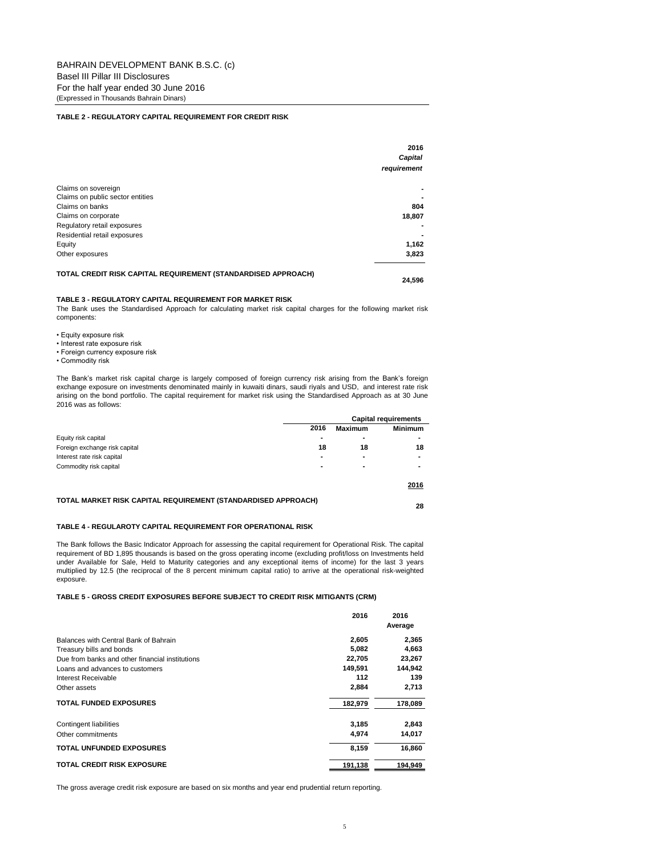### **TABLE 2 - REGULATORY CAPITAL REQUIREMENT FOR CREDIT RISK**

|                                                                      | 2016        |
|----------------------------------------------------------------------|-------------|
|                                                                      | Capital     |
|                                                                      | requirement |
| Claims on sovereign                                                  |             |
| Claims on public sector entities                                     |             |
| Claims on banks                                                      | 804         |
| Claims on corporate                                                  | 18,807      |
| Regulatory retail exposures                                          |             |
| Residential retail exposures                                         |             |
| Equity                                                               | 1,162       |
| Other exposures                                                      | 3,823       |
| <b>TOTAL CREDIT RISK CAPITAL REQUIREMENT (STANDARDISED APPROACH)</b> | 24.596      |

#### **TABLE 3 - REGULATORY CAPITAL REQUIREMENT FOR MARKET RISK**

The Bank uses the Standardised Approach for calculating market risk capital charges for the following market risk components:

- Equity exposure risk
- Interest rate exposure risk
- Foreign currency exposure risk
- Commodity risk

The Bank's market risk capital charge is largely composed of foreign currency risk arising from the Bank's foreign exchange exposure on investments denominated mainly in kuwaiti dinars, saudi riyals and USD, and interest rate risk arising on the bond portfolio. The capital requirement for market risk using the Standardised Approach as at 30 June 2016 was as follows:

|                                                               | <b>Capital requirements</b> |         |                |
|---------------------------------------------------------------|-----------------------------|---------|----------------|
|                                                               | 2016                        | Maximum | <b>Minimum</b> |
| Equity risk capital                                           |                             |         |                |
| Foreign exchange risk capital                                 | 18                          | 18      | 18             |
| Interest rate risk capital                                    | -                           |         |                |
| Commodity risk capital                                        |                             |         |                |
|                                                               |                             |         | 2016           |
| TOTAL MARKET RISK CAPITAL REQUIREMENT (STANDARDISED APPROACH) |                             |         | 28             |

## **TABLE 4 - REGULAROTY CAPITAL REQUIREMENT FOR OPERATIONAL RISK**

The Bank follows the Basic Indicator Approach for assessing the capital requirement for Operational Risk. The capital requirement of BD 1,895 thousands is based on the gross operating income (excluding profit/loss on Investments held under Available for Sale, Held to Maturity categories and any exceptional items of income) for the last 3 years multiplied by 12.5 (the reciprocal of the 8 percent minimum capital ratio) to arrive at the operational risk-weighted exposure.

#### **TABLE 5 - GROSS CREDIT EXPOSURES BEFORE SUBJECT TO CREDIT RISK MITIGANTS (CRM)**

|                                                 | 2016    | 2016<br>Average |
|-------------------------------------------------|---------|-----------------|
| Balances with Central Bank of Bahrain           | 2,605   | 2,365           |
| Treasury bills and bonds                        | 5,082   | 4,663           |
| Due from banks and other financial institutions | 22,705  | 23,267          |
| Loans and advances to customers                 | 149,591 | 144,942         |
| Interest Receivable                             | 112     | 139             |
| Other assets                                    | 2,884   | 2,713           |
| <b>TOTAL FUNDED EXPOSURES</b>                   | 182,979 | 178,089         |
| Contingent liabilities                          | 3,185   | 2,843           |
| Other commitments                               | 4,974   | 14,017          |
| <b>TOTAL UNFUNDED EXPOSURES</b>                 | 8,159   | 16,860          |
| <b>TOTAL CREDIT RISK EXPOSURE</b>               | 191,138 | 194,949         |

The gross average credit risk exposure are based on six months and year end prudential return reporting.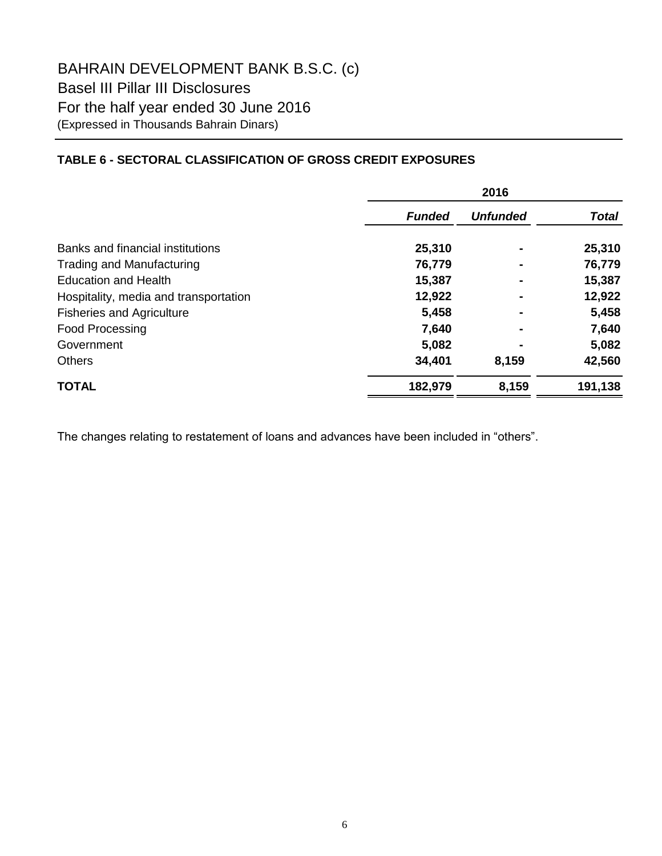# **TABLE 6 - SECTORAL CLASSIFICATION OF GROSS CREDIT EXPOSURES**

|                                       | 2016          |                 |              |  |  |
|---------------------------------------|---------------|-----------------|--------------|--|--|
|                                       | <b>Funded</b> | <b>Unfunded</b> | <b>Total</b> |  |  |
| Banks and financial institutions      | 25,310        |                 | 25,310       |  |  |
| Trading and Manufacturing             | 76,779        |                 | 76,779       |  |  |
| <b>Education and Health</b>           | 15,387        |                 | 15,387       |  |  |
| Hospitality, media and transportation | 12,922        |                 | 12,922       |  |  |
| <b>Fisheries and Agriculture</b>      | 5,458         |                 | 5,458        |  |  |
| Food Processing                       | 7,640         |                 | 7,640        |  |  |
| Government                            | 5,082         |                 | 5,082        |  |  |
| <b>Others</b>                         | 34,401        | 8,159           | 42,560       |  |  |
| <b>TOTAL</b>                          | 182,979       | 8,159           | 191,138      |  |  |

The changes relating to restatement of loans and advances have been included in "others".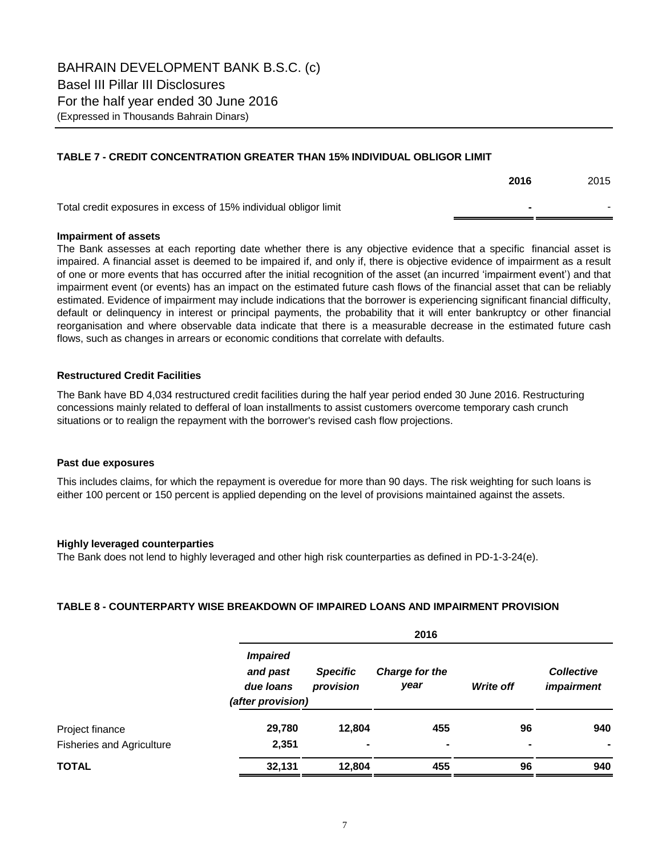## **TABLE 7 - CREDIT CONCENTRATION GREATER THAN 15% INDIVIDUAL OBLIGOR LIMIT**

|                                                                  | 2016 | 2015 |
|------------------------------------------------------------------|------|------|
| Total credit exposures in excess of 15% individual obligor limit | ۰    |      |

## **Impairment of assets**

The Bank assesses at each reporting date whether there is any objective evidence that a specific financial asset is impaired. A financial asset is deemed to be impaired if, and only if, there is objective evidence of impairment as a result of one or more events that has occurred after the initial recognition of the asset (an incurred 'impairment event') and that impairment event (or events) has an impact on the estimated future cash flows of the financial asset that can be reliably estimated. Evidence of impairment may include indications that the borrower is experiencing significant financial difficulty, default or delinquency in interest or principal payments, the probability that it will enter bankruptcy or other financial reorganisation and where observable data indicate that there is a measurable decrease in the estimated future cash flows, such as changes in arrears or economic conditions that correlate with defaults.

## **Restructured Credit Facilities**

The Bank have BD 4,034 restructured credit facilities during the half year period ended 30 June 2016. Restructuring concessions mainly related to defferal of loan installments to assist customers overcome temporary cash crunch situations or to realign the repayment with the borrower's revised cash flow projections.

## **Past due exposures**

This includes claims, for which the repayment is overedue for more than 90 days. The risk weighting for such loans is either 100 percent or 150 percent is applied depending on the level of provisions maintained against the assets.

## **Highly leveraged counterparties**

The Bank does not lend to highly leveraged and other high risk counterparties as defined in PD-1-3-24(e).

## **TABLE 8 - COUNTERPARTY WISE BREAKDOWN OF IMPAIRED LOANS AND IMPAIRMENT PROVISION**

|                                  |                                                               |                              | 2016                   |                  |                                        |  |
|----------------------------------|---------------------------------------------------------------|------------------------------|------------------------|------------------|----------------------------------------|--|
|                                  | <b>Impaired</b><br>and past<br>due loans<br>(after provision) | <b>Specific</b><br>provision | Charge for the<br>year | <b>Write off</b> | <b>Collective</b><br><i>impairment</i> |  |
| Project finance                  | 29,780                                                        | 12,804                       | 455                    | 96               | 940                                    |  |
| <b>Fisheries and Agriculture</b> | 2,351                                                         | ۰                            | ۰                      | ۰                | ٠                                      |  |
| <b>TOTAL</b>                     | 32,131                                                        | 12,804                       | 455                    | 96               | 940                                    |  |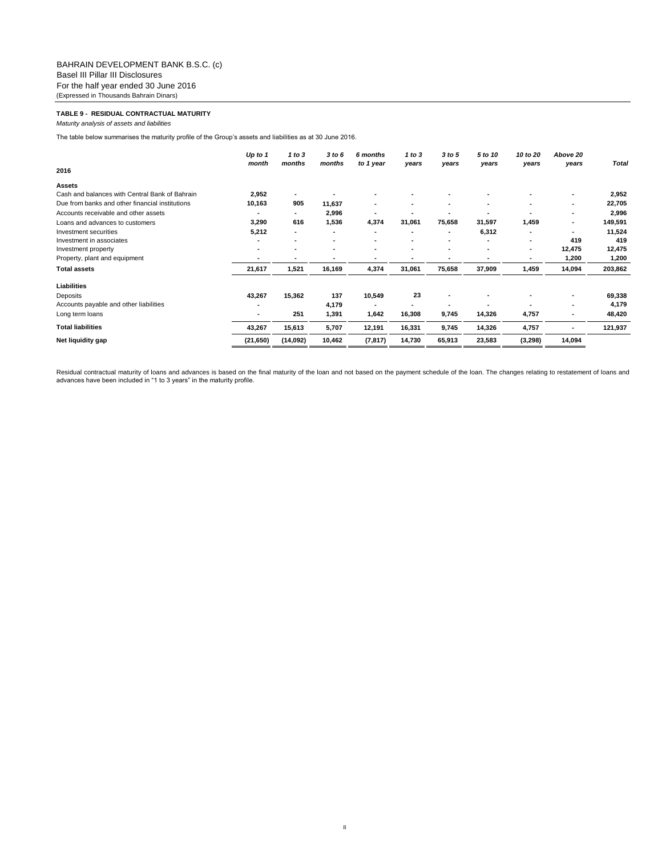## **TABLE 9 - RESIDUAL CONTRACTUAL MATURITY**

*Maturity analysis of assets and liabilities*

The table below summarises the maturity profile of the Group's assets and liabilities as at 30 June 2016.

|                                                 | Up to 1        | 1 to 3   | 3 to 6 | 6 months  | 1 to $3$                 | 3 to 5 | 5 to 10 | 10 to 20 | Above 20                 |              |
|-------------------------------------------------|----------------|----------|--------|-----------|--------------------------|--------|---------|----------|--------------------------|--------------|
| 2016                                            | month          | months   | months | to 1 year | years                    | years  | years   | years    | years                    | <b>Total</b> |
| <b>Assets</b>                                   |                |          |        |           |                          |        |         |          |                          |              |
| Cash and balances with Central Bank of Bahrain  | 2,952          |          |        |           |                          |        |         |          | $\overline{\phantom{a}}$ | 2,952        |
| Due from banks and other financial institutions | 10,163         | 905      | 11,637 |           | $\overline{\phantom{a}}$ |        | ۰       |          | $\blacksquare$           | 22,705       |
| Accounts receivable and other assets            |                |          | 2,996  |           |                          |        |         |          |                          | 2,996        |
| Loans and advances to customers                 | 3,290          | 616      | 1,536  | 4,374     | 31,061                   | 75,658 | 31,597  | 1,459    | $\overline{\phantom{a}}$ | 149,591      |
| Investment securities                           | 5,212          |          | ٠      |           |                          |        | 6,312   |          | $\blacksquare$           | 11,524       |
| Investment in associates                        |                |          |        |           |                          |        |         |          | 419                      | 419          |
| Investment property                             | ٠              |          |        |           | $\overline{\phantom{a}}$ |        |         |          | 12,475                   | 12,475       |
| Property, plant and equipment                   | ٠              |          |        |           |                          |        |         |          | 1,200                    | 1,200        |
| <b>Total assets</b>                             | 21,617         | 1,521    | 16,169 | 4,374     | 31,061                   | 75,658 | 37,909  | 1,459    | 14,094                   | 203,862      |
| Liabilities                                     |                |          |        |           |                          |        |         |          |                          |              |
| Deposits                                        | 43,267         | 15,362   | 137    | 10,549    | 23                       |        |         |          | $\blacksquare$           | 69,338       |
| Accounts payable and other liabilities          | ٠              |          | 4,179  |           |                          |        |         |          | $\blacksquare$           | 4,179        |
| Long term loans                                 | $\blacksquare$ | 251      | 1,391  | 1,642     | 16,308                   | 9,745  | 14,326  | 4,757    | $\blacksquare$           | 48,420       |
| <b>Total liabilities</b>                        | 43,267         | 15,613   | 5,707  | 12,191    | 16,331                   | 9,745  | 14,326  | 4,757    |                          | 121,937      |
| Net liquidity gap                               | (21, 650)      | (14,092) | 10,462 | (7, 817)  | 14,730                   | 65,913 | 23,583  | (3,298)  | 14,094                   |              |

Residual contractual maturity of loans and advances is based on the final maturity of the loan and not based on the payment schedule of the loan. The changes relating to restatement of loans and<br>advances have been included

8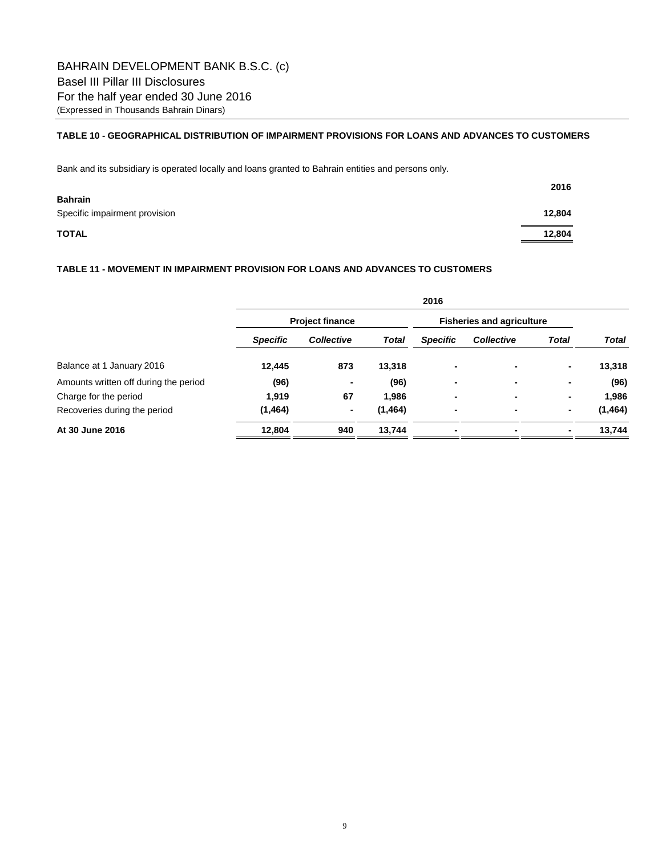## **TABLE 10 - GEOGRAPHICAL DISTRIBUTION OF IMPAIRMENT PROVISIONS FOR LOANS AND ADVANCES TO CUSTOMERS**

Bank and its subsidiary is operated locally and loans granted to Bahrain entities and persons only.

|                               | 2016   |
|-------------------------------|--------|
| <b>Bahrain</b>                |        |
| Specific impairment provision | 12,804 |
| <b>TOTAL</b>                  | 12,804 |

## **TABLE 11 - MOVEMENT IN IMPAIRMENT PROVISION FOR LOANS AND ADVANCES TO CUSTOMERS**

|                                       | 2016                   |                   |          |                                  |                   |                          |              |
|---------------------------------------|------------------------|-------------------|----------|----------------------------------|-------------------|--------------------------|--------------|
|                                       | <b>Project finance</b> |                   |          | <b>Fisheries and agriculture</b> |                   |                          |              |
|                                       | <b>Specific</b>        | <b>Collective</b> | Total    | <b>Specific</b>                  | <b>Collective</b> | <b>Total</b>             | <b>Total</b> |
| Balance at 1 January 2016             | 12,445                 | 873               | 13,318   | ٠                                |                   | ۰                        | 13,318       |
| Amounts written off during the period | (96)                   | ٠                 | (96)     | ۰                                |                   |                          | (96)         |
| Charge for the period                 | 1,919                  | 67                | 1.986    | ٠                                | ۰                 | $\overline{\phantom{a}}$ | 1,986        |
| Recoveries during the period          | (1, 464)               | $\blacksquare$    | (1, 464) | ٠                                |                   | ۰                        | (1, 464)     |
| At 30 June 2016                       | 12,804                 | 940               | 13,744   | ۰                                |                   |                          | 13,744       |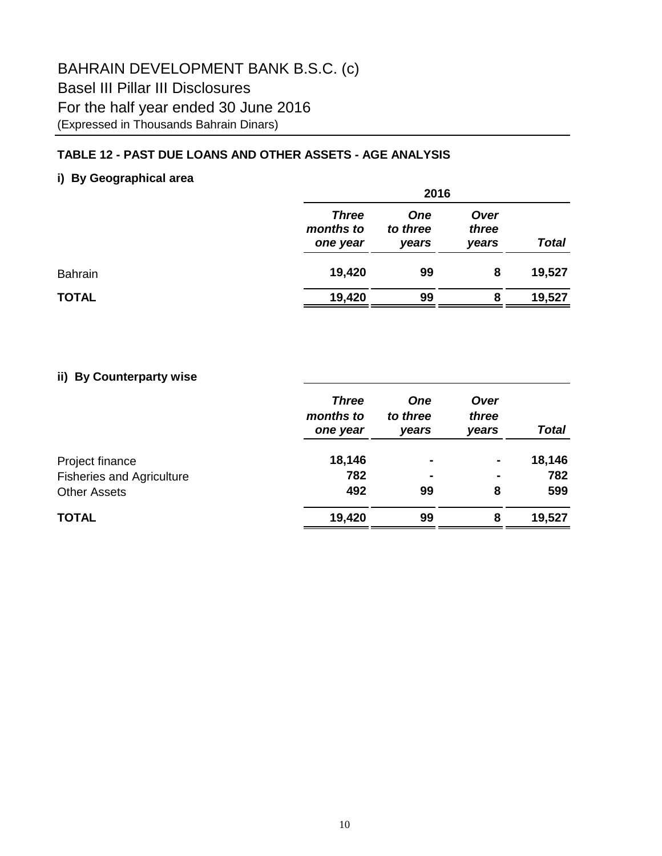# BAHRAIN DEVELOPMENT BANK B.S.C. (c) Basel III Pillar III Disclosures For the half year ended 30 June 2016 (Expressed in Thousands Bahrain Dinars)

# **TABLE 12 - PAST DUE LOANS AND OTHER ASSETS - AGE ANALYSIS**

# **i) By Geographical area**

|                | 2016                                  |                                 |                        |              |  |
|----------------|---------------------------------------|---------------------------------|------------------------|--------------|--|
|                | <b>Three</b><br>months to<br>one year | <b>One</b><br>to three<br>vears | Over<br>three<br>vears | <b>Total</b> |  |
| <b>Bahrain</b> | 19,420                                | 99                              | 8                      | 19,527       |  |
| <b>TOTAL</b>   | 19,420                                | 99                              | 8                      | 19,527       |  |

# **ii) By Counterparty wise**

|                                  | <b>Three</b><br>months to<br>one year | <b>One</b><br>to three<br><b>vears</b> | Over<br>three<br>years | Total  |
|----------------------------------|---------------------------------------|----------------------------------------|------------------------|--------|
| Project finance                  | 18,146                                | $\blacksquare$                         | ۰.                     | 18,146 |
| <b>Fisheries and Agriculture</b> | 782                                   | $\blacksquare$                         | $\blacksquare$         | 782    |
| <b>Other Assets</b>              | 492                                   | 99                                     | 8                      | 599    |
| <b>TOTAL</b>                     | 19,420                                | 99                                     | 8                      | 19,527 |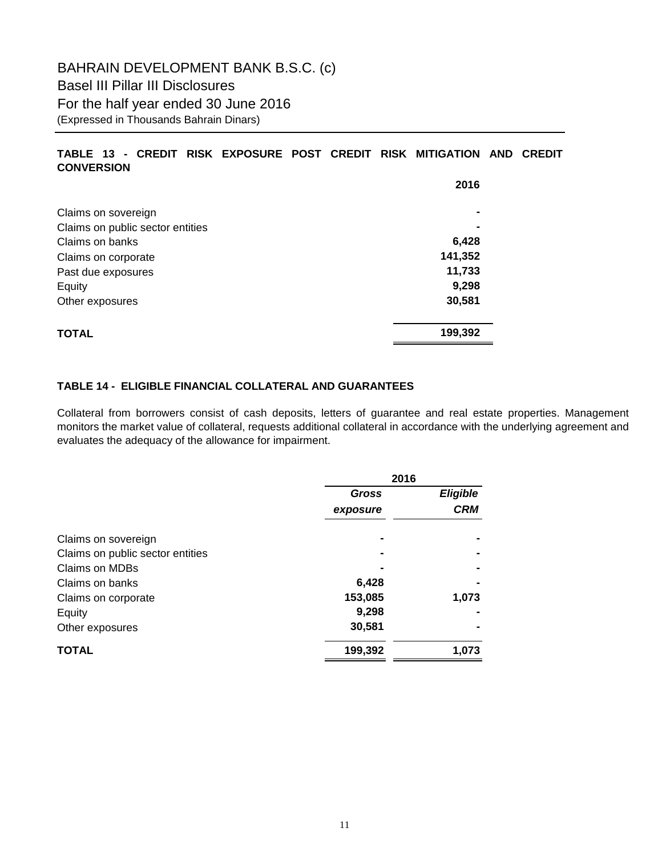# **TABLE 13 - CREDIT RISK EXPOSURE POST CREDIT RISK MITIGATION AND CREDIT CONVERSION**

|                                  | 2016    |
|----------------------------------|---------|
| Claims on sovereign              |         |
| Claims on public sector entities |         |
| Claims on banks                  | 6,428   |
| Claims on corporate              | 141,352 |
| Past due exposures               | 11,733  |
| Equity                           | 9,298   |
| Other exposures                  | 30,581  |
| <b>TOTAL</b>                     | 199,392 |

# **TABLE 14 - ELIGIBLE FINANCIAL COLLATERAL AND GUARANTEES**

Collateral from borrowers consist of cash deposits, letters of guarantee and real estate properties. Management monitors the market value of collateral, requests additional collateral in accordance with the underlying agreement and evaluates the adequacy of the allowance for impairment.

|                                  | 2016           |            |  |
|----------------------------------|----------------|------------|--|
|                                  | <b>Gross</b>   | Eligible   |  |
|                                  | exposure       | <b>CRM</b> |  |
| Claims on sovereign              | $\blacksquare$ |            |  |
| Claims on public sector entities | $\blacksquare$ |            |  |
| Claims on MDBs                   | $\blacksquare$ |            |  |
| Claims on banks                  | 6,428          |            |  |
| Claims on corporate              | 153,085        | 1,073      |  |
| Equity                           | 9,298          |            |  |
| Other exposures                  | 30,581         |            |  |
| <b>TOTAL</b>                     | 199,392        | 1,073      |  |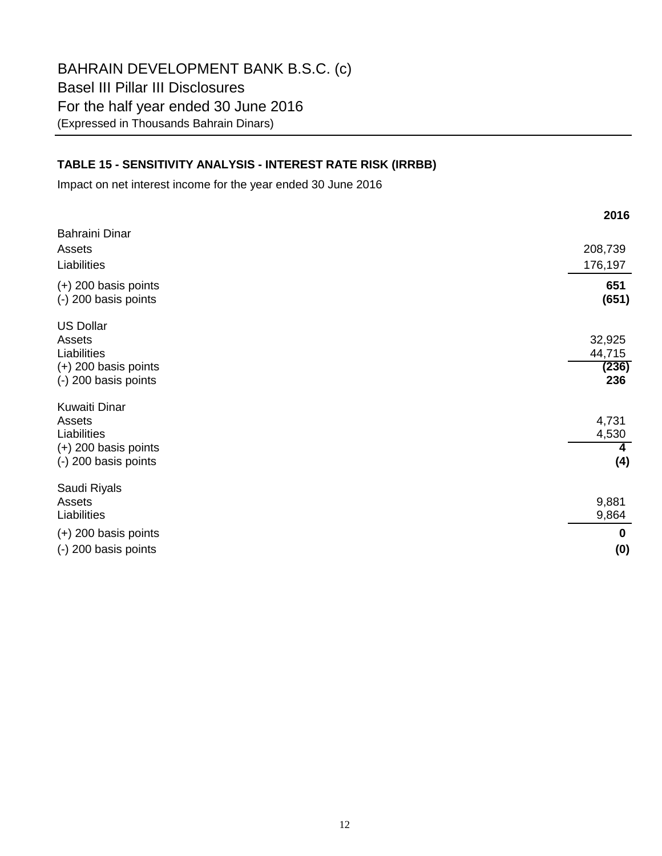# **TABLE 15 - SENSITIVITY ANALYSIS - INTEREST RATE RISK (IRRBB)**

Impact on net interest income for the year ended 30 June 2016

|                            | 2016     |
|----------------------------|----------|
| <b>Bahraini Dinar</b>      |          |
| Assets                     | 208,739  |
| Liabilities                | 176,197  |
| $(+)$ 200 basis points     | 651      |
| (-) 200 basis points       | (651)    |
|                            |          |
| <b>US Dollar</b><br>Assets | 32,925   |
| Liabilities                | 44,715   |
| $(+)$ 200 basis points     | (236)    |
| (-) 200 basis points       | 236      |
| Kuwaiti Dinar              |          |
| Assets                     | 4,731    |
| Liabilities                | 4,530    |
| $(+)$ 200 basis points     | 4        |
| (-) 200 basis points       | (4)      |
| Saudi Riyals               |          |
| Assets                     | 9,881    |
| Liabilities                | 9,864    |
| $(+)$ 200 basis points     | $\bf{0}$ |
| (-) 200 basis points       | (0)      |
|                            |          |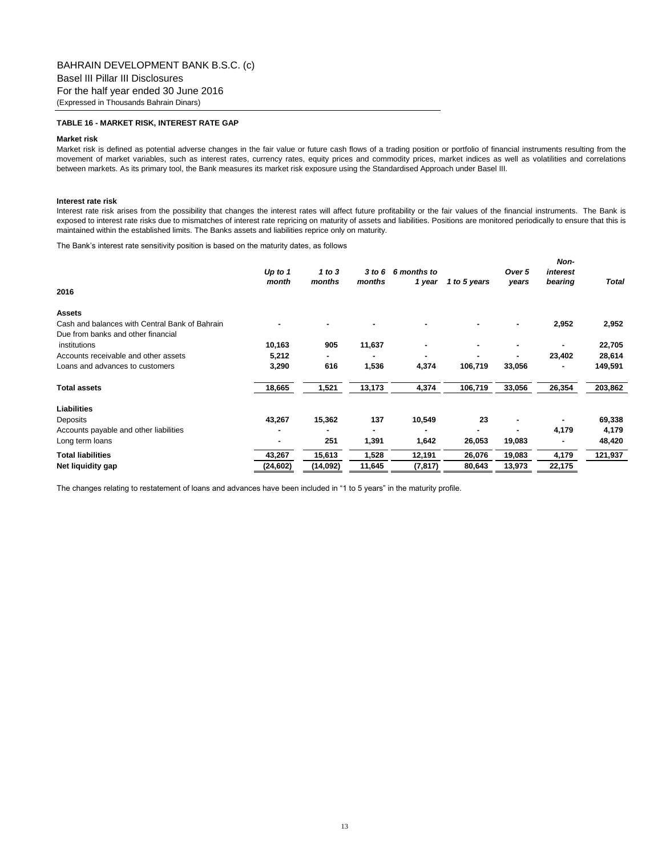## **TABLE 16 - MARKET RISK, INTEREST RATE GAP**

#### **Market risk**

Market risk is defined as potential adverse changes in the fair value or future cash flows of a trading position or portfolio of financial instruments resulting from the movement of market variables, such as interest rates, currency rates, equity prices and commodity prices, market indices as well as volatilities and correlations between markets. As its primary tool, the Bank measures its market risk exposure using the Standardised Approach under Basel III.

#### **Interest rate risk**

Interest rate risk arises from the possibility that changes the interest rates will affect future profitability or the fair values of the financial instruments. The Bank is exposed to interest rate risks due to mismatches of interest rate repricing on maturity of assets and liabilities. Positions are monitored periodically to ensure that this is maintained within the established limits. The Banks assets and liabilities reprice only on maturity.

The Bank's interest rate sensitivity position is based on the maturity dates, as follows

|                                                | Up to 1<br>month | 1 to $3$<br>months       | 3 to 6<br>months | 6 months to<br>1 year | 1 to 5 years | Over 5<br>years | Non-<br>interest<br>bearing | Total   |
|------------------------------------------------|------------------|--------------------------|------------------|-----------------------|--------------|-----------------|-----------------------------|---------|
| 2016                                           |                  |                          |                  |                       |              |                 |                             |         |
| <b>Assets</b>                                  |                  |                          |                  |                       |              |                 |                             |         |
| Cash and balances with Central Bank of Bahrain |                  |                          |                  | ۰                     |              | $\blacksquare$  | 2,952                       | 2,952   |
| Due from banks and other financial             |                  |                          |                  |                       |              |                 |                             |         |
| institutions                                   | 10,163           | 905                      | 11,637           | ٠                     | ۰            | ۰               | ٠                           | 22,705  |
| Accounts receivable and other assets           | 5,212            | $\overline{\phantom{a}}$ |                  | ۰                     |              |                 | 23,402                      | 28,614  |
| Loans and advances to customers                | 3,290            | 616                      | 1,536            | 4,374                 | 106,719      | 33,056          | ۰                           | 149,591 |
| <b>Total assets</b>                            | 18,665           | 1,521                    | 13,173           | 4,374                 | 106,719      | 33,056          | 26,354                      | 203,862 |
| Liabilities                                    |                  |                          |                  |                       |              |                 |                             |         |
| Deposits                                       | 43,267           | 15,362                   | 137              | 10,549                | 23           | ٠               |                             | 69,338  |
| Accounts payable and other liabilities         |                  | $\overline{\phantom{a}}$ |                  | ۰                     | ۰            | ۰               | 4,179                       | 4,179   |
| Long term loans                                |                  | 251                      | 1,391            | 1,642                 | 26,053       | 19,083          |                             | 48,420  |
| <b>Total liabilities</b>                       | 43,267           | 15,613                   | 1,528            | 12,191                | 26,076       | 19,083          | 4,179                       | 121,937 |
| Net liquidity gap                              | (24, 602)        | (14, 092)                | 11,645           | (7, 817)              | 80,643       | 13,973          | 22,175                      |         |

The changes relating to restatement of loans and advances have been included in "1 to 5 years" in the maturity profile.